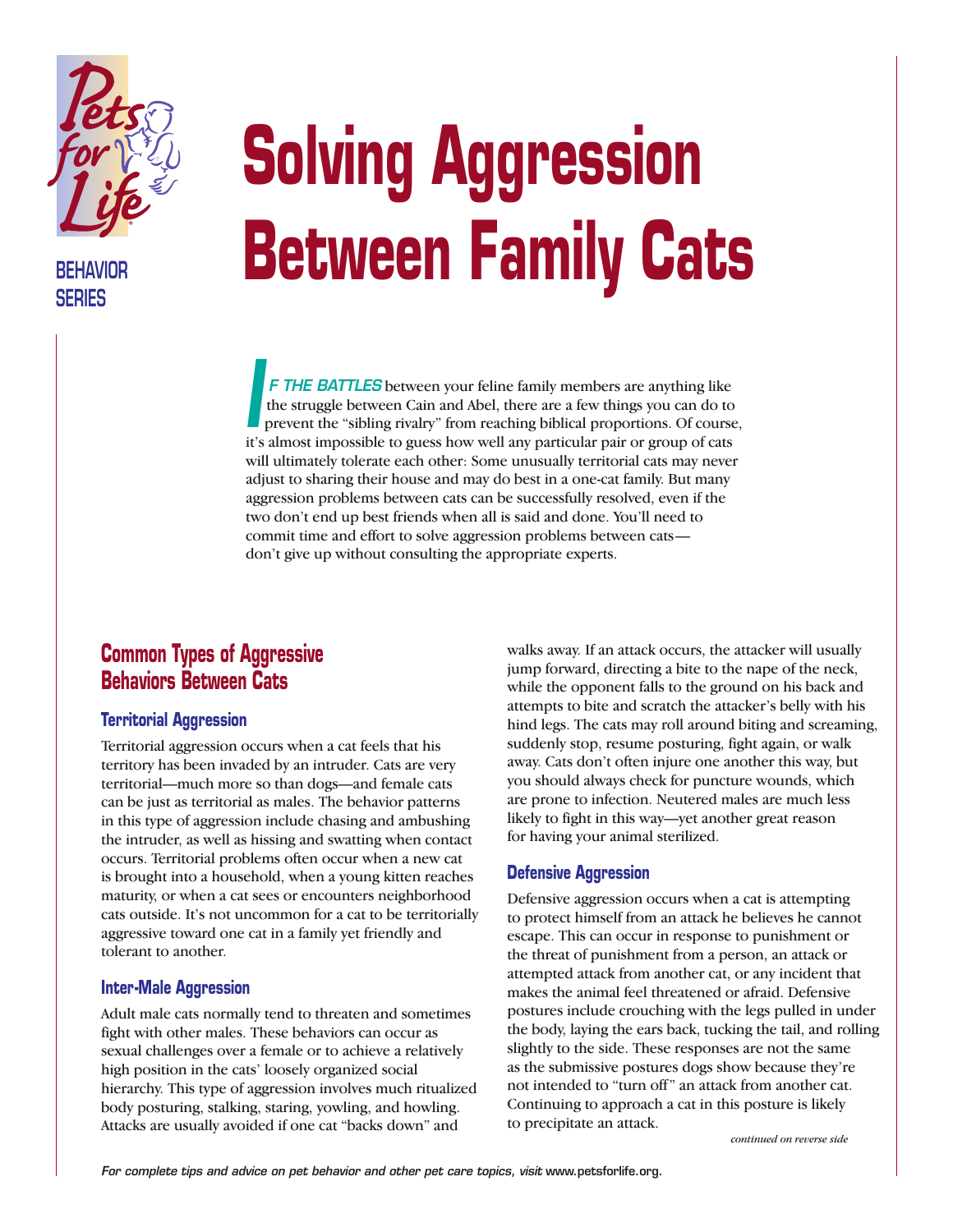

**BEHAVIOR SERIES**

# **Solving Aggression Between Family Cats**

*F THE BATTLES* between your feline family members are anything like the struggle between Cain and Abel, there are a few things you can do to prevent the "sibling rivalry" from reaching biblical proportions. Of course, it's almost impossible to guess how well any particular pair or group of cats will ultimately tolerate each other: Some unusually territorial cats may never adjust to sharing their house and may do best in a one-cat family. But many aggression problems between cats can be successfully resolved, even if the two don't end up best friends when all is said and done. You'll need to commit time and effort to solve aggression problems between cats don't give up without consulting the appropriate experts. *I*

# **Common Types of Aggressive Behaviors Between Cats**

#### **Territorial Aggression**

Territorial aggression occurs when a cat feels that his territory has been invaded by an intruder. Cats are very territorial—much more so than dogs—and female cats can be just as territorial as males. The behavior patterns in this type of aggression include chasing and ambushing the intruder, as well as hissing and swatting when contact occurs. Territorial problems often occur when a new cat is brought into a household, when a young kitten reaches maturity, or when a cat sees or encounters neighborhood cats outside. It's not uncommon for a cat to be territorially aggressive toward one cat in a family yet friendly and tolerant to another.

#### **Inter-Male Aggression**

Adult male cats normally tend to threaten and sometimes fight with other males. These behaviors can occur as sexual challenges over a female or to achieve a relatively high position in the cats' loosely organized social hierarchy. This type of aggression involves much ritualized body posturing, stalking, staring, yowling, and howling. Attacks are usually avoided if one cat "backs down" and

walks away. If an attack occurs, the attacker will usually jump forward, directing a bite to the nape of the neck, while the opponent falls to the ground on his back and attempts to bite and scratch the attacker's belly with his hind legs. The cats may roll around biting and screaming, suddenly stop, resume posturing, fight again, or walk away. Cats don't often injure one another this way, but you should always check for puncture wounds, which are prone to infection. Neutered males are much less likely to fight in this way—yet another great reason for having your animal sterilized.

#### **Defensive Aggression**

Defensive aggression occurs when a cat is attempting to protect himself from an attack he believes he cannot escape. This can occur in response to punishment or the threat of punishment from a person, an attack or attempted attack from another cat, or any incident that makes the animal feel threatened or afraid. Defensive postures include crouching with the legs pulled in under the body, laying the ears back, tucking the tail, and rolling slightly to the side. These responses are not the same as the submissive postures dogs show because they're not intended to "turn off" an attack from another cat. Continuing to approach a cat in this posture is likely to precipitate an attack.

*continued on reverse side*